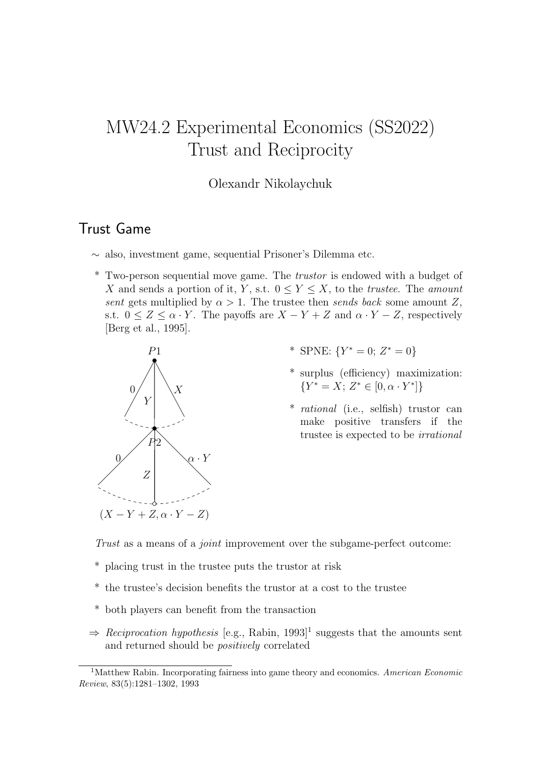# MW24.2 Experimental Economics (SS2022) Trust and Reciprocity

#### Olexandr Nikolaychuk

### Trust Game

- ∼ also, investment game, sequential Prisoner's Dilemma etc.
- \* Two-person sequential move game. The trustor is endowed with a budget of X and sends a portion of it, Y, s.t.  $0 \le Y \le X$ , to the *trustee*. The *amount* sent gets multiplied by  $\alpha > 1$ . The trustee then sends back some amount Z, s.t.  $0 \leq Z \leq \alpha \cdot Y$ . The payoffs are  $X - Y + Z$  and  $\alpha \cdot Y - Z$ , respectively [Berg et al., 1995].



- \* SPNE:  ${Y^* = 0; Z^* = 0}$
- \* surplus (efficiency) maximization:  ${Y^* = X; Z^* \in [0, \alpha \cdot Y^*]}$
- \* rational (i.e., selfish) trustor can make positive transfers if the trustee is expected to be irrational

Trust as a means of a joint improvement over the subgame-perfect outcome:

- \* placing trust in the trustee puts the trustor at risk
- \* the trustee's decision benefits the trustor at a cost to the trustee
- \* both players can benefit from the transaction
- $\Rightarrow$  Reciprocation hypothesis [e.g., Rabin, 1993]<sup>1</sup> suggests that the amounts sent and returned should be positively correlated

<sup>&</sup>lt;sup>1</sup>Matthew Rabin. Incorporating fairness into game theory and economics. American Economic Review, 83(5):1281–1302, 1993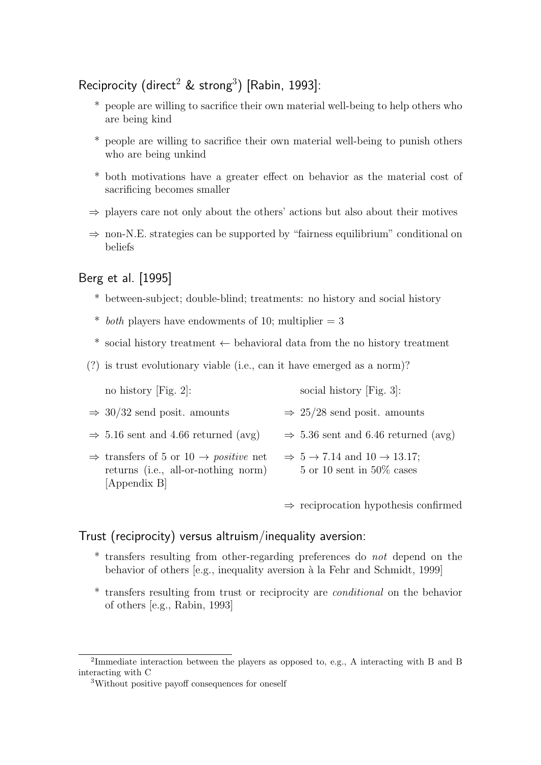### Reciprocity (direct<sup>2</sup> & strong<sup>3</sup>) [Rabin, 1993]:

- \* people are willing to sacrifice their own material well-being to help others who are being kind
- \* people are willing to sacrifice their own material well-being to punish others who are being unkind
- \* both motivations have a greater effect on behavior as the material cost of sacrificing becomes smaller
- $\Rightarrow$  players care not only about the others' actions but also about their motives
- $\Rightarrow$  non-N.E. strategies can be supported by "fairness equilibrium" conditional on beliefs

#### Berg et al. [1995]

- \* between-subject; double-blind; treatments: no history and social history
- \* both players have endowments of 10; multiplier  $= 3$
- \* social history treatment  $\leftarrow$  behavioral data from the no history treatment
- (?) is trust evolutionary viable (i.e., can it have emerged as a norm)?

| no history [Fig. 2]: | social history [Fig. 3]: |
|----------------------|--------------------------|
|----------------------|--------------------------|

- $\Rightarrow$  30/32 send posit. amounts  $\Rightarrow$  25/28 send posit. amounts
- $\Rightarrow$  5.16 sent and 4.66 returned (avg)  $\Rightarrow$  5.36 sent and 6.46 returned (avg)
- $\Rightarrow$  transfers of 5 or 10  $\rightarrow$  *positive* net returns (i.e., all-or-nothing norm) [Appendix B]  $\Rightarrow$  5  $\rightarrow$  7.14 and 10  $\rightarrow$  13.17; 5 or 10 sent in 50% cases

 $\Rightarrow$  reciprocation hypothesis confirmed

#### Trust (reciprocity) versus altruism/inequality aversion:

- \* transfers resulting from other-regarding preferences do not depend on the behavior of others [e.g., inequality aversion à la Fehr and Schmidt, 1999]
- \* transfers resulting from trust or reciprocity are conditional on the behavior of others [e.g., Rabin, 1993]

<sup>&</sup>lt;sup>2</sup>Immediate interaction between the players as opposed to, e.g., A interacting with B and B interacting with C

<sup>&</sup>lt;sup>3</sup>Without positive payoff consequences for oneself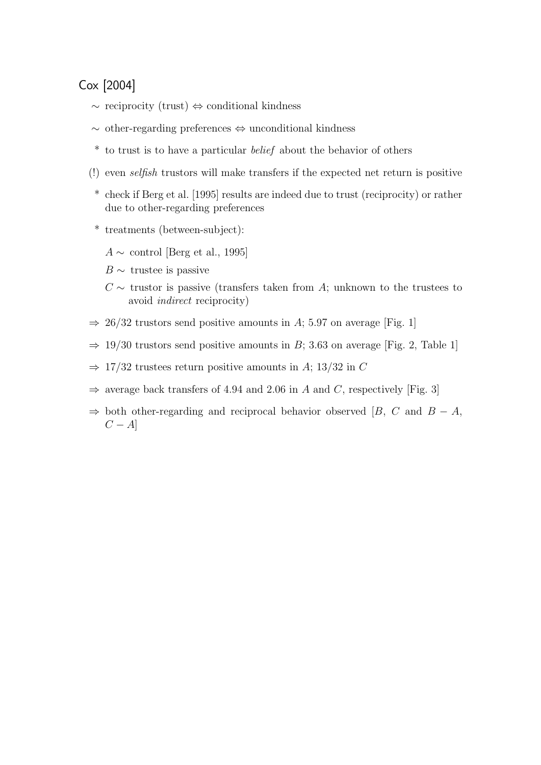### Cox [2004]

- ∼ reciprocity (trust) ⇔ conditional kindness
- ∼ other-regarding preferences ⇔ unconditional kindness
- \* to trust is to have a particular belief about the behavior of others
- (!) even selfish trustors will make transfers if the expected net return is positive
- \* check if Berg et al. [1995] results are indeed due to trust (reciprocity) or rather due to other-regarding preferences
- \* treatments (between-subject):
	- $A \sim$  control [Berg et al., 1995]
	- $B \sim$  trustee is passive
	- $C \sim$  trustor is passive (transfers taken from A; unknown to the trustees to avoid indirect reciprocity)
- $\Rightarrow$  26/32 trustors send positive amounts in A; 5.97 on average [Fig. 1]
- $\Rightarrow$  19/30 trustors send positive amounts in B; 3.63 on average [Fig. 2, Table 1]
- $\Rightarrow$  17/32 trustees return positive amounts in A; 13/32 in C
- $\Rightarrow$  average back transfers of 4.94 and 2.06 in A and C, respectively [Fig. 3]
- $\Rightarrow$  both other-regarding and reciprocal behavior observed [B, C and B A,  $C - A$ ]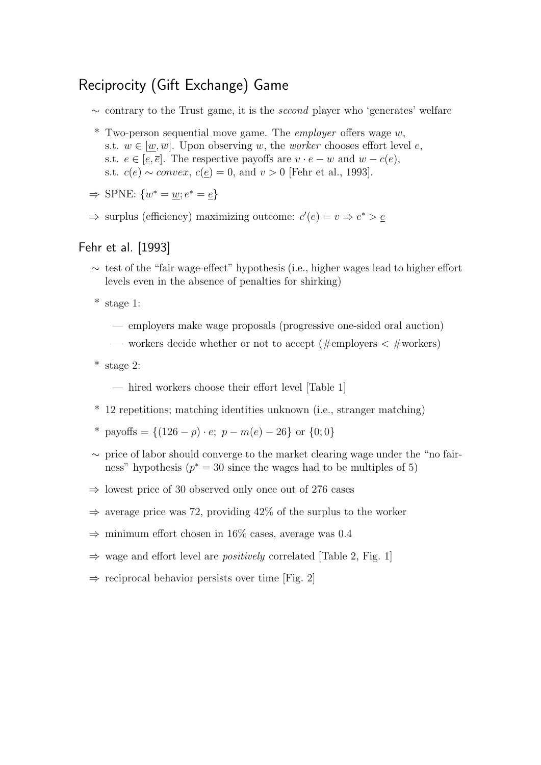### Reciprocity (Gift Exchange) Game

- $\sim$  contrary to the Trust game, it is the *second* player who 'generates' welfare
- $*$  Two-person sequential move game. The *employer* offers wage  $w$ , s.t.  $w \in [w,\overline{w}]$ . Upon observing w, the worker chooses effort level e, s.t.  $e \in [e, \overline{e}]$ . The respective payoffs are  $v \cdot e - w$  and  $w - c(e)$ , s.t.  $c(e) \sim convex$ ,  $c(\underline{e}) = 0$ , and  $v > 0$  [Fehr et al., 1993].

$$
\Rightarrow \text{SPNE: } \{w^* = \underline{w}; e^* = \underline{e}\}
$$

 $\Rightarrow$  surplus (efficiency) maximizing outcome:  $c'(e) = v \Rightarrow e^* > e$ 

#### Fehr et al. [1993]

- ∼ test of the "fair wage-effect" hypothesis (i.e., higher wages lead to higher effort levels even in the absence of penalties for shirking)
- \* stage 1:
	- employers make wage proposals (progressive one-sided oral auction)
	- workers decide whether or not to accept (#employers  $\lt$  #workers)
- \* stage 2:
	- hired workers choose their effort level [Table 1]
- \* 12 repetitions; matching identities unknown (i.e., stranger matching)
- \* payoffs =  $\{(126 p) \cdot e; p m(e) 26\}$  or  $\{0, 0\}$
- ∼ price of labor should converge to the market clearing wage under the "no fairness" hypothesis  $(p^* = 30 \text{ since the wages had to be multiples of } 5)$
- $\Rightarrow$  lowest price of 30 observed only once out of 276 cases
- $\Rightarrow$  average price was 72, providing 42% of the surplus to the worker
- $\Rightarrow$  minimum effort chosen in 16% cases, average was 0.4
- $\Rightarrow$  wage and effort level are *positively* correlated [Table 2, Fig. 1]
- $\Rightarrow$  reciprocal behavior persists over time [Fig. 2]